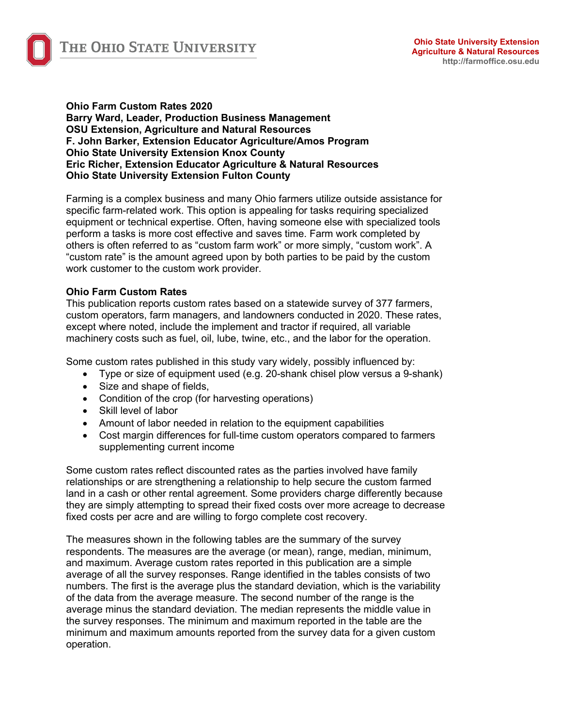

#### **Ohio Farm Custom Rates 2020 Barry Ward, Leader, Production Business Management OSU Extension, Agriculture and Natural Resources F. John Barker, Extension Educator Agriculture/Amos Program Ohio State University Extension Knox County Eric Richer, Extension Educator Agriculture & Natural Resources Ohio State University Extension Fulton County**

Farming is a complex business and many Ohio farmers utilize outside assistance for specific farm-related work. This option is appealing for tasks requiring specialized equipment or technical expertise. Often, having someone else with specialized tools perform a tasks is more cost effective and saves time. Farm work completed by others is often referred to as "custom farm work" or more simply, "custom work". A "custom rate" is the amount agreed upon by both parties to be paid by the custom work customer to the custom work provider.

# **Ohio Farm Custom Rates**

This publication reports custom rates based on a statewide survey of 377 farmers, custom operators, farm managers, and landowners conducted in 2020. These rates, except where noted, include the implement and tractor if required, all variable machinery costs such as fuel, oil, lube, twine, etc., and the labor for the operation.

Some custom rates published in this study vary widely, possibly influenced by:

- Type or size of equipment used (e.g. 20-shank chisel plow versus a 9-shank)
- Size and shape of fields,
- Condition of the crop (for harvesting operations)
- Skill level of labor
- Amount of labor needed in relation to the equipment capabilities
- Cost margin differences for full-time custom operators compared to farmers supplementing current income

Some custom rates reflect discounted rates as the parties involved have family relationships or are strengthening a relationship to help secure the custom farmed land in a cash or other rental agreement. Some providers charge differently because they are simply attempting to spread their fixed costs over more acreage to decrease fixed costs per acre and are willing to forgo complete cost recovery.

The measures shown in the following tables are the summary of the survey respondents. The measures are the average (or mean), range, median, minimum, and maximum. Average custom rates reported in this publication are a simple average of all the survey responses. Range identified in the tables consists of two numbers. The first is the average plus the standard deviation, which is the variability of the data from the average measure. The second number of the range is the average minus the standard deviation. The median represents the middle value in the survey responses. The minimum and maximum reported in the table are the minimum and maximum amounts reported from the survey data for a given custom operation.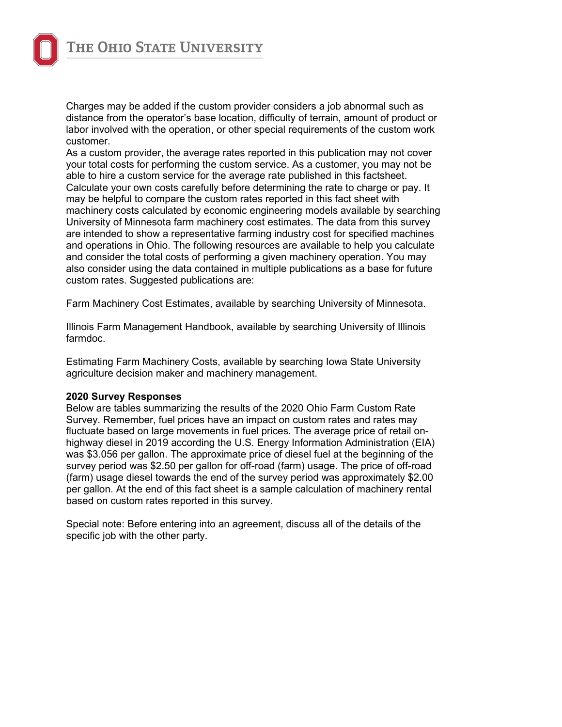

Charges may be added if the custom provider considers a job abnormal such as distance from the operator's base location, difficulty of terrain, amount of product or labor involved with the operation, or other special requirements of the custom work customer.

As a custom provider, the average rates reported in this publication may not cover your total costs for performing the custom service. As a customer, you may not be able to hire a custom service for the average rate published in this factsheet. Calculate your own costs carefully before determining the rate to charge or pay. It may be helpful to compare the custom rates reported in this fact sheet with machinery costs calculated by economic engineering models available by searching University of Minnesota farm machinery cost estimates. The data from this survey are intended to show a representative farming industry cost for specified machines and operations in Ohio. The following resources are available to help you calculate and consider the total costs of performing a given machinery operation. You may also consider using the data contained in multiple publications as a base for future custom rates. Suggested publications are:

Farm Machinery Cost Estimates, available by searching University of Minnesota.

Illinois Farm Management Handbook, available by searching University of Illinois farmdoc.

Estimating Farm Machinery Costs, available by searching Iowa State University agriculture decision maker and machinery management.

#### **2020 Survey Responses**

Below are tables summarizing the results of the 2020 Ohio Farm Custom Rate Survey. Remember, fuel prices have an impact on custom rates and rates may fluctuate based on large movements in fuel prices. The average price of retail onhighway diesel in 2019 according the U.S. Energy Information Administration (EIA) was \$3.056 per gallon. The approximate price of diesel fuel at the beginning of the survey period was \$2.50 per gallon for off-road (farm) usage. The price of off-road (farm) usage diesel towards the end of the survey period was approximately \$2.00 per gallon. At the end of this fact sheet is a sample calculation of machinery rental based on custom rates reported in this survey.

Special note: Before entering into an agreement, discuss all of the details of the specific job with the other party.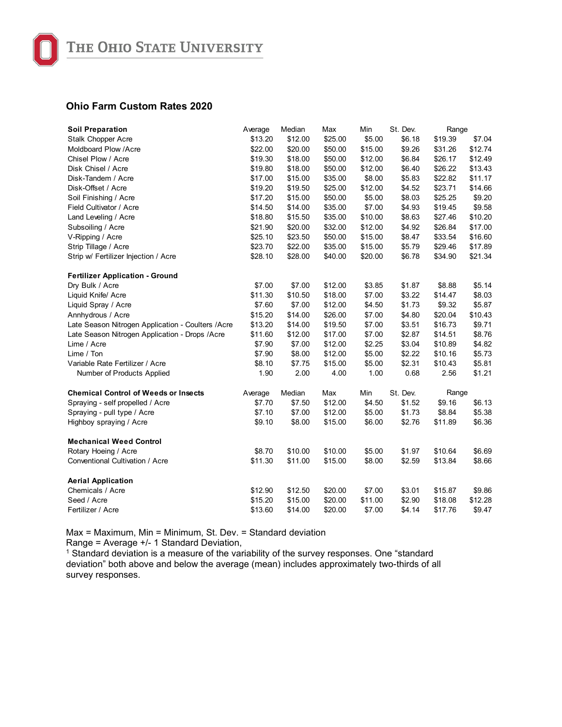

| <b>Soil Preparation</b>                            | Average | Median  | Max     | Min     | St. Dev. | Range   |         |
|----------------------------------------------------|---------|---------|---------|---------|----------|---------|---------|
| <b>Stalk Chopper Acre</b>                          | \$13.20 | \$12.00 | \$25.00 | \$5.00  | \$6.18   | \$19.39 | \$7.04  |
| Moldboard Plow /Acre                               | \$22.00 | \$20.00 | \$50.00 | \$15.00 | \$9.26   | \$31.26 | \$12.74 |
| Chisel Plow / Acre                                 | \$19.30 | \$18.00 | \$50.00 | \$12.00 | \$6.84   | \$26.17 | \$12.49 |
| Disk Chisel / Acre                                 | \$19.80 | \$18.00 | \$50.00 | \$12.00 | \$6.40   | \$26.22 | \$13.43 |
| Disk-Tandem / Acre                                 | \$17.00 | \$15.00 | \$35.00 | \$8.00  | \$5.83   | \$22.82 | \$11.17 |
| Disk-Offset / Acre                                 | \$19.20 | \$19.50 | \$25.00 | \$12.00 | \$4.52   | \$23.71 | \$14.66 |
| Soil Finishing / Acre                              | \$17.20 | \$15.00 | \$50.00 | \$5.00  | \$8.03   | \$25.25 | \$9.20  |
| Field Cultivator / Acre                            | \$14.50 | \$14.00 | \$35.00 | \$7.00  | \$4.93   | \$19.45 | \$9.58  |
| Land Leveling / Acre                               | \$18.80 | \$15.50 | \$35.00 | \$10.00 | \$8.63   | \$27.46 | \$10.20 |
| Subsoiling / Acre                                  | \$21.90 | \$20.00 | \$32.00 | \$12.00 | \$4.92   | \$26.84 | \$17.00 |
| V-Ripping / Acre                                   | \$25.10 | \$23.50 | \$50.00 | \$15.00 | \$8.47   | \$33.54 | \$16.60 |
| Strip Tillage / Acre                               | \$23.70 | \$22.00 | \$35.00 | \$15.00 | \$5.79   | \$29.46 | \$17.89 |
| Strip w/ Fertilizer Injection / Acre               | \$28.10 | \$28.00 | \$40.00 | \$20.00 | \$6.78   | \$34.90 | \$21.34 |
| <b>Fertilizer Application - Ground</b>             |         |         |         |         |          |         |         |
| Dry Bulk / Acre                                    | \$7.00  | \$7.00  | \$12.00 | \$3.85  | \$1.87   | \$8.88  | \$5.14  |
| Liquid Knife/ Acre                                 | \$11.30 | \$10.50 | \$18.00 | \$7.00  | \$3.22   | \$14.47 | \$8.03  |
| Liquid Spray / Acre                                | \$7.60  | \$7.00  | \$12.00 | \$4.50  | \$1.73   | \$9.32  | \$5.87  |
| Annhydrous / Acre                                  | \$15.20 | \$14.00 | \$26.00 | \$7.00  | \$4.80   | \$20.04 | \$10.43 |
| Late Season Nitrogen Application - Coulters / Acre | \$13.20 | \$14.00 | \$19.50 | \$7.00  | \$3.51   | \$16.73 | \$9.71  |
| Late Season Nitrogen Application - Drops / Acre    | \$11.60 | \$12.00 | \$17.00 | \$7.00  | \$2.87   | \$14.51 | \$8.76  |
| Lime / Acre                                        | \$7.90  | \$7.00  | \$12.00 | \$2.25  | \$3.04   | \$10.89 | \$4.82  |
| Lime / Ton                                         | \$7.90  | \$8.00  | \$12.00 | \$5.00  | \$2.22   | \$10.16 | \$5.73  |
| Variable Rate Fertilizer / Acre                    | \$8.10  | \$7.75  | \$15.00 | \$5.00  | \$2.31   | \$10.43 | \$5.81  |
| Number of Products Applied                         | 1.90    | 2.00    | 4.00    | 1.00    | 0.68     | 2.56    | \$1.21  |
| <b>Chemical Control of Weeds or Insects</b>        | Average | Median  | Max     | Min     | St. Dev. | Range   |         |
| Spraying - self propelled / Acre                   | \$7.70  | \$7.50  | \$12.00 | \$4.50  | \$1.52   | \$9.16  | \$6.13  |
| Spraying - pull type / Acre                        | \$7.10  | \$7.00  | \$12.00 | \$5.00  | \$1.73   | \$8.84  | \$5.38  |
| Highboy spraying / Acre                            | \$9.10  | \$8.00  | \$15.00 | \$6.00  | \$2.76   | \$11.89 | \$6.36  |
| <b>Mechanical Weed Control</b>                     |         |         |         |         |          |         |         |
| Rotary Hoeing / Acre                               | \$8.70  | \$10.00 | \$10.00 | \$5.00  | \$1.97   | \$10.64 | \$6.69  |
| Conventional Cultivation / Acre                    | \$11.30 | \$11.00 | \$15.00 | \$8.00  | \$2.59   | \$13.84 | \$8.66  |
| <b>Aerial Application</b>                          |         |         |         |         |          |         |         |
| Chemicals / Acre                                   | \$12.90 | \$12.50 | \$20.00 | \$7.00  | \$3.01   | \$15.87 | \$9.86  |
| Seed / Acre                                        | \$15.20 | \$15.00 | \$20.00 | \$11.00 | \$2.90   | \$18.08 | \$12.28 |
| Fertilizer / Acre                                  | \$13.60 | \$14.00 | \$20.00 | \$7.00  | \$4.14   | \$17.76 | \$9.47  |

Max = Maximum, Min = Minimum, St. Dev. = Standard deviation Range = Average +/- 1 Standard Deviation,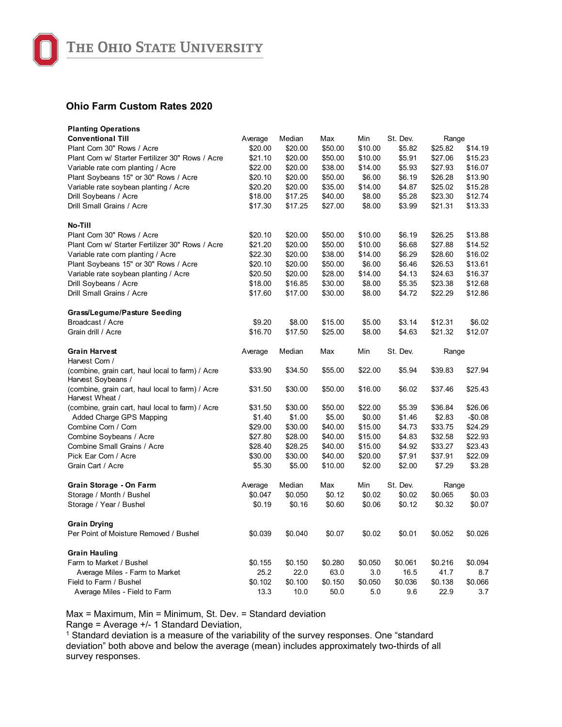

| <b>Planting Operations</b>                                             |         |         |         |         |          |         |          |
|------------------------------------------------------------------------|---------|---------|---------|---------|----------|---------|----------|
| <b>Conventional Till</b>                                               | Average | Median  | Max     | Min     | St. Dev. | Range   |          |
| Plant Corn 30" Rows / Acre                                             | \$20.00 | \$20.00 | \$50.00 | \$10.00 | \$5.82   | \$25.82 | \$14.19  |
| Plant Corn w/ Starter Fertilizer 30" Rows / Acre                       | \$21.10 | \$20.00 | \$50.00 | \$10.00 | \$5.91   | \$27.06 | \$15.23  |
| Variable rate corn planting / Acre                                     | \$22.00 | \$20.00 | \$38.00 | \$14.00 | \$5.93   | \$27.93 | \$16.07  |
| Plant Soybeans 15" or 30" Rows / Acre                                  | \$20.10 | \$20.00 | \$50.00 | \$6.00  | \$6.19   | \$26.28 | \$13.90  |
| Variable rate soybean planting / Acre                                  | \$20.20 | \$20.00 | \$35.00 | \$14.00 | \$4.87   | \$25.02 | \$15.28  |
| Drill Soybeans / Acre                                                  | \$18.00 | \$17.25 | \$40.00 | \$8.00  | \$5.28   | \$23.30 | \$12.74  |
| Drill Small Grains / Acre                                              | \$17.30 | \$17.25 | \$27.00 | \$8.00  | \$3.99   | \$21.31 | \$13.33  |
| No-Till                                                                |         |         |         |         |          |         |          |
| Plant Corn 30" Rows / Acre                                             | \$20.10 | \$20.00 | \$50.00 | \$10.00 | \$6.19   | \$26.25 | \$13.88  |
| Plant Corn w/ Starter Fertilizer 30" Rows / Acre                       | \$21.20 | \$20.00 | \$50.00 | \$10.00 | \$6.68   | \$27.88 | \$14.52  |
| Variable rate corn planting / Acre                                     | \$22.30 | \$20.00 | \$38.00 | \$14.00 | \$6.29   | \$28.60 | \$16.02  |
| Plant Soybeans 15" or 30" Rows / Acre                                  | \$20.10 | \$20.00 | \$50.00 | \$6.00  | \$6.46   | \$26.53 | \$13.61  |
| Variable rate soybean planting / Acre                                  | \$20.50 | \$20.00 | \$28.00 | \$14.00 | \$4.13   | \$24.63 | \$16.37  |
| Drill Soybeans / Acre                                                  | \$18.00 | \$16.85 | \$30.00 | \$8.00  | \$5.35   | \$23.38 | \$12.68  |
| Drill Small Grains / Acre                                              | \$17.60 | \$17.00 | \$30.00 | \$8.00  | \$4.72   | \$22.29 | \$12.86  |
| Grass/Legume/Pasture Seeding                                           |         |         |         |         |          |         |          |
| Broadcast / Acre                                                       | \$9.20  | \$8.00  | \$15.00 | \$5.00  | \$3.14   | \$12.31 | \$6.02   |
| Grain drill / Acre                                                     | \$16.70 | \$17.50 | \$25.00 | \$8.00  | \$4.63   | \$21.32 | \$12.07  |
| <b>Grain Harvest</b>                                                   | Average | Median  | Max     | Min     | St. Dev. | Range   |          |
| Harvest Corn /                                                         |         |         |         |         |          |         |          |
| (combine, grain cart, haul local to farm) / Acre<br>Harvest Soybeans / | \$33.90 | \$34.50 | \$55.00 | \$22.00 | \$5.94   | \$39.83 | \$27.94  |
| (combine, grain cart, haul local to farm) / Acre<br>Harvest Wheat /    | \$31.50 | \$30.00 | \$50.00 | \$16.00 | \$6.02   | \$37.46 | \$25.43  |
| (combine, grain cart, haul local to farm) / Acre                       | \$31.50 | \$30.00 | \$50.00 | \$22.00 | \$5.39   | \$36.84 | \$26.06  |
| Added Charge GPS Mapping                                               | \$1.40  | \$1.00  | \$5.00  | \$0.00  | \$1.46   | \$2.83  | $-$0.08$ |
| Combine Corn / Corn                                                    | \$29.00 | \$30.00 | \$40.00 | \$15.00 | \$4.73   | \$33.75 | \$24.29  |
| Combine Soybeans / Acre                                                | \$27.80 | \$28.00 | \$40.00 | \$15.00 | \$4.83   | \$32.58 | \$22.93  |
| Combine Small Grains / Acre                                            | \$28.40 | \$28.25 | \$40.00 | \$15.00 | \$4.92   | \$33.27 | \$23.43  |
| Pick Ear Corn / Acre                                                   | \$30.00 | \$30.00 | \$40.00 | \$20.00 | \$7.91   | \$37.91 | \$22.09  |
| Grain Cart / Acre                                                      | \$5.30  | \$5.00  | \$10.00 | \$2.00  | \$2.00   | \$7.29  | \$3.28   |
| Grain Storage - On Farm                                                | Average | Median  | Max     | Min     | St. Dev. | Range   |          |
| Storage / Month / Bushel                                               | \$0.047 | \$0.050 | \$0.12  | \$0.02  | \$0.02   | \$0.065 | \$0.03   |
| Storage / Year / Bushel                                                | \$0.19  | \$0.16  | \$0.60  | \$0.06  | \$0.12   | \$0.32  | \$0.07   |
| <b>Grain Drying</b>                                                    |         |         |         |         |          |         |          |
| Per Point of Moisture Removed / Bushel                                 | \$0.039 | \$0.040 | \$0.07  | \$0.02  | \$0.01   | \$0.052 | \$0.026  |
| <b>Grain Hauling</b>                                                   |         |         |         |         |          |         |          |
| Farm to Market / Bushel                                                | \$0.155 | \$0.150 | \$0.280 | \$0.050 | \$0.061  | \$0.216 | \$0.094  |
| Average Miles - Farm to Market                                         | 25.2    | 22.0    | 63.0    | 3.0     | 16.5     | 41.7    | 8.7      |
| Field to Farm / Bushel                                                 | \$0.102 | \$0.100 | \$0.150 | \$0.050 | \$0.036  | \$0.138 | \$0.066  |
| Average Miles - Field to Farm                                          | 13.3    | 10.0    | 50.0    | 5.0     | 9.6      | 22.9    | 3.7      |

Max = Maximum, Min = Minimum, St. Dev. = Standard deviation

Range = Average +/- 1 Standard Deviation,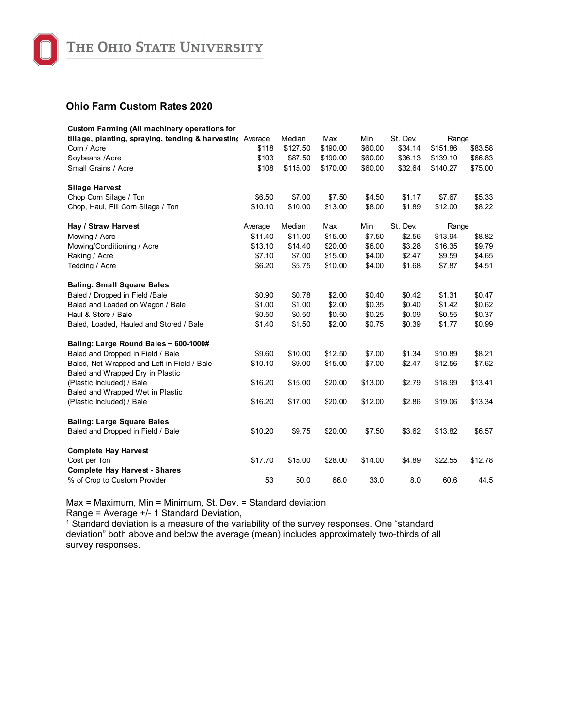

| <b>Custom Farming (All machinery operations for</b>           |         |          |          |         |          |          |         |
|---------------------------------------------------------------|---------|----------|----------|---------|----------|----------|---------|
| tillage, planting, spraying, tending & harvesting Average     |         | Median   | Max      | Min     | St. Dev. | Range    |         |
| Corn / Acre                                                   | \$118   | \$127.50 | \$190.00 | \$60.00 | \$34.14  | \$151.86 | \$83.58 |
| Soybeans /Acre                                                | \$103   | \$87.50  | \$190.00 | \$60.00 | \$36.13  | \$139.10 | \$66.83 |
| Small Grains / Acre                                           | \$108   | \$115.00 | \$170.00 | \$60.00 | \$32.64  | \$140.27 | \$75.00 |
| <b>Silage Harvest</b>                                         |         |          |          |         |          |          |         |
| Chop Corn Silage / Ton                                        | \$6.50  | \$7.00   | \$7.50   | \$4.50  | \$1.17   | \$7.67   | \$5.33  |
| Chop, Haul, Fill Corn Silage / Ton                            | \$10.10 | \$10.00  | \$13.00  | \$8.00  | \$1.89   | \$12.00  | \$8.22  |
| Hay / Straw Harvest                                           | Average | Median   | Max      | Min     | St. Dev. | Range    |         |
| Mowing / Acre                                                 | \$11.40 | \$11.00  | \$15.00  | \$7.50  | \$2.56   | \$13.94  | \$8.82  |
| Mowing/Conditioning / Acre                                    | \$13.10 | \$14.40  | \$20.00  | \$6.00  | \$3.28   | \$16.35  | \$9.79  |
| Raking / Acre                                                 | \$7.10  | \$7.00   | \$15.00  | \$4.00  | \$2.47   | \$9.59   | \$4.65  |
| Tedding / Acre                                                | \$6.20  | \$5.75   | \$10.00  | \$4.00  | \$1.68   | \$7.87   | \$4.51  |
| <b>Baling: Small Square Bales</b>                             |         |          |          |         |          |          |         |
| Baled / Dropped in Field /Bale                                | \$0.90  | \$0.78   | \$2.00   | \$0.40  | \$0.42   | \$1.31   | \$0.47  |
| Baled and Loaded on Wagon / Bale                              | \$1.00  | \$1.00   | \$2.00   | \$0.35  | \$0.40   | \$1.42   | \$0.62  |
| Haul & Store / Bale                                           | \$0.50  | \$0.50   | \$0.50   | \$0.25  | \$0.09   | \$0.55   | \$0.37  |
| Baled, Loaded, Hauled and Stored / Bale                       | \$1.40  | \$1.50   | \$2.00   | \$0.75  | \$0.39   | \$1.77   | \$0.99  |
| Baling: Large Round Bales ~ 600-1000#                         |         |          |          |         |          |          |         |
| Baled and Dropped in Field / Bale                             | \$9.60  | \$10.00  | \$12.50  | \$7.00  | \$1.34   | \$10.89  | \$8.21  |
| Baled, Net Wrapped and Left in Field / Bale                   | \$10.10 | \$9.00   | \$15.00  | \$7.00  | \$2.47   | \$12.56  | \$7.62  |
| Baled and Wrapped Dry in Plastic                              |         |          |          |         |          |          |         |
| (Plastic Included) / Bale                                     | \$16.20 | \$15.00  | \$20.00  | \$13.00 | \$2.79   | \$18.99  | \$13.41 |
| Baled and Wrapped Wet in Plastic<br>(Plastic Included) / Bale | \$16.20 | \$17.00  | \$20.00  | \$12.00 | \$2.86   | \$19.06  | \$13.34 |
| <b>Baling: Large Square Bales</b>                             |         |          |          |         |          |          |         |
| Baled and Dropped in Field / Bale                             | \$10.20 | \$9.75   | \$20.00  | \$7.50  | \$3.62   | \$13.82  | \$6.57  |
| <b>Complete Hay Harvest</b>                                   |         |          |          |         |          |          |         |
| Cost per Ton                                                  | \$17.70 | \$15.00  | \$28.00  | \$14.00 | \$4.89   | \$22.55  | \$12.78 |
| <b>Complete Hay Harvest - Shares</b>                          |         |          |          |         |          |          |         |
| % of Crop to Custom Provider                                  | 53      | 50.0     | 66.0     | 33.0    | 8.0      | 60.6     | 44.5    |

Max = Maximum, Min = Minimum, St. Dev. = Standard deviation Range = Average +/- 1 Standard Deviation,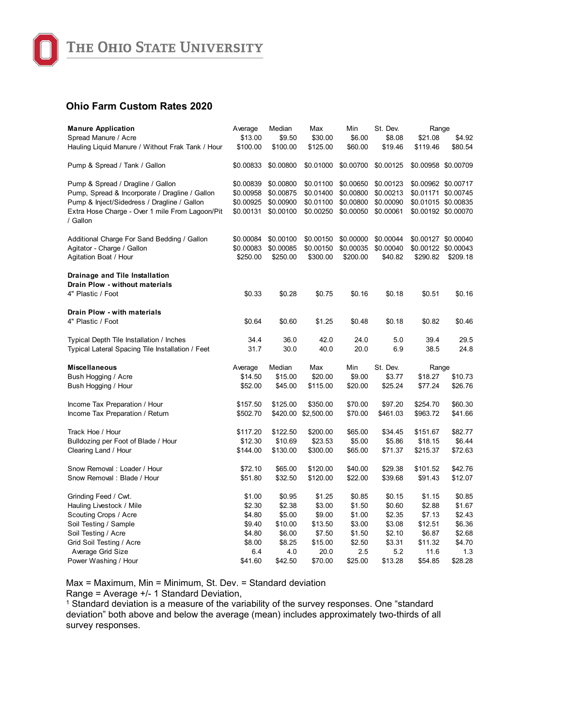

| <b>Manure Application</b>                                        | Average   | Median    | Max                 | Min       | St. Dev.  | Range               |                     |
|------------------------------------------------------------------|-----------|-----------|---------------------|-----------|-----------|---------------------|---------------------|
| Spread Manure / Acre                                             | \$13.00   | \$9.50    | \$30.00             | \$6.00    | \$8.08    | \$21.08             | \$4.92              |
| Hauling Liquid Manure / Without Frak Tank / Hour                 | \$100.00  | \$100.00  | \$125.00            | \$60.00   | \$19.46   | \$119.46            | \$80.54             |
| Pump & Spread / Tank / Gallon                                    | \$0.00833 | \$0.00800 | \$0.01000           | \$0.00700 | \$0.00125 | \$0.00958 \$0.00709 |                     |
| Pump & Spread / Dragline / Gallon                                | \$0.00839 | \$0.00800 | \$0.01100           | \$0.00650 | \$0.00123 | \$0.00962 \$0.00717 |                     |
| Pump, Spread & Incorporate / Dragline / Gallon                   | \$0.00958 | \$0.00875 | \$0.01400           | \$0.00800 | \$0.00213 |                     | \$0.01171 \$0.00745 |
| Pump & Inject/Sidedress / Dragline / Gallon                      | \$0.00925 | \$0.00900 | \$0.01100           | \$0.00800 | \$0.00090 |                     | \$0.01015 \$0.00835 |
| Extra Hose Charge - Over 1 mile From Lagoon/Pit<br>/ Gallon      | \$0.00131 | \$0.00100 | \$0.00250           | \$0.00050 | \$0.00061 |                     | \$0.00192 \$0.00070 |
| Additional Charge For Sand Bedding / Gallon                      | \$0.00084 | \$0.00100 | \$0.00150           | \$0.00000 | \$0.00044 |                     | \$0.00127 \$0.00040 |
| Agitator - Charge / Gallon                                       | \$0.00083 | \$0.00085 | \$0.00150           | \$0.00035 | \$0.00040 |                     | \$0.00122 \$0.00043 |
| Agitation Boat / Hour                                            | \$250.00  | \$250.00  | \$300.00            | \$200.00  | \$40.82   | \$290.82            | \$209.18            |
| Drainage and Tile Installation<br>Drain Plow - without materials |           |           |                     |           |           |                     |                     |
| 4" Plastic / Foot                                                | \$0.33    | \$0.28    | \$0.75              | \$0.16    | \$0.18    | \$0.51              | \$0.16              |
| Drain Plow - with materials                                      |           |           |                     |           |           |                     |                     |
| 4" Plastic / Foot                                                | \$0.64    | \$0.60    | \$1.25              | \$0.48    | \$0.18    | \$0.82              | \$0.46              |
| Typical Depth Tile Installation / Inches                         | 34.4      | 36.0      | 42.0                | 24.0      | 5.0       | 39.4                | 29.5                |
| Typical Lateral Spacing Tile Installation / Feet                 | 31.7      | 30.0      | 40.0                | 20.0      | 6.9       | 38.5                | 24.8                |
| <b>Miscellaneous</b>                                             | Average   | Median    | Max                 | Min       | St. Dev.  | Range               |                     |
| Bush Hogging / Acre                                              | \$14.50   | \$15.00   | \$20.00             | \$9.00    | \$3.77    | \$18.27             | \$10.73             |
| Bush Hogging / Hour                                              | \$52.00   | \$45.00   | \$115.00            | \$20.00   | \$25.24   | \$77.24             | \$26.76             |
| Income Tax Preparation / Hour                                    | \$157.50  | \$125.00  | \$350.00            | \$70.00   | \$97.20   | \$254.70            | \$60.30             |
| Income Tax Preparation / Return                                  | \$502.70  |           | \$420.00 \$2,500.00 | \$70.00   | \$461.03  | \$963.72            | \$41.66             |
| Track Hoe / Hour                                                 | \$117.20  | \$122.50  | \$200.00            | \$65.00   | \$34.45   | \$151.67            | \$82.77             |
| Bulldozing per Foot of Blade / Hour                              | \$12.30   | \$10.69   | \$23.53             | \$5.00    | \$5.86    | \$18.15             | \$6.44              |
| Clearing Land / Hour                                             | \$144.00  | \$130.00  | \$300.00            | \$65.00   | \$71.37   | \$215.37            | \$72.63             |
| Snow Removal: Loader / Hour                                      | \$72.10   | \$65.00   | \$120.00            | \$40.00   | \$29.38   | \$101.52            | \$42.76             |
| Snow Removal: Blade / Hour                                       | \$51.80   | \$32.50   | \$120.00            | \$22.00   | \$39.68   | \$91.43             | \$12.07             |
| Grinding Feed / Cwt.                                             | \$1.00    | \$0.95    | \$1.25              | \$0.85    | \$0.15    | \$1.15              | \$0.85              |
| Hauling Livestock / Mile                                         | \$2.30    | \$2.38    | \$3.00              | \$1.50    | \$0.60    | \$2.88              | \$1.67              |
| Scouting Crops / Acre                                            | \$4.80    | \$5.00    | \$9.00              | \$1.00    | \$2.35    | \$7.13              | \$2.43              |
| Soil Testing / Sample                                            | \$9.40    | \$10.00   | \$13.50             | \$3.00    | \$3.08    | \$12.51             | \$6.36              |
| Soil Testing / Acre                                              | \$4.80    | \$6.00    | \$7.50              | \$1.50    | \$2.10    | \$6.87              | \$2.68              |
| Grid Soil Testing / Acre                                         | \$8.00    | \$8.25    | \$15.00             | \$2.50    | \$3.31    | \$11.32             | \$4.70              |
| Average Grid Size                                                | 6.4       | 4.0       | 20.0                | 2.5       | 5.2       | 11.6                | 1.3                 |
| Power Washing / Hour                                             | \$41.60   | \$42.50   | \$70.00             | \$25.00   | \$13.28   | \$54.85             | \$28.28             |

Max = Maximum, Min = Minimum, St. Dev. = Standard deviation

Range = Average +/- 1 Standard Deviation,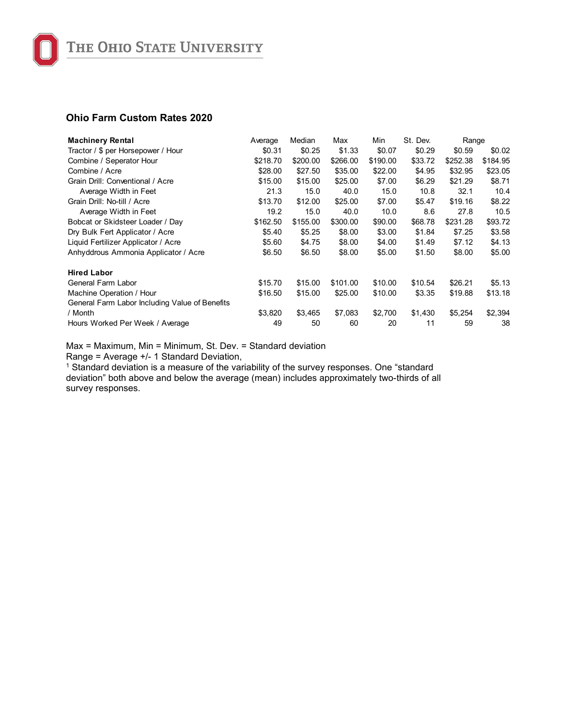| <b>Machinery Rental</b>                        | Average  | Median   | Max      | Min      | St. Dev. | Range    |          |
|------------------------------------------------|----------|----------|----------|----------|----------|----------|----------|
| Tractor / \$ per Horsepower / Hour             | \$0.31   | \$0.25   | \$1.33   | \$0.07   | \$0.29   | \$0.59   | \$0.02   |
| Combine / Seperator Hour                       | \$218.70 | \$200.00 | \$266.00 | \$190.00 | \$33.72  | \$252.38 | \$184.95 |
| Combine / Acre                                 | \$28.00  | \$27.50  | \$35.00  | \$22.00  | \$4.95   | \$32.95  | \$23.05  |
| Grain Drill: Conventional / Acre               | \$15.00  | \$15.00  | \$25.00  | \$7.00   | \$6.29   | \$21.29  | \$8.71   |
| Average Width in Feet                          | 21.3     | 15.0     | 40.0     | 15.0     | 10.8     | 32.1     | 10.4     |
| Grain Drill: No-till / Acre                    | \$13.70  | \$12.00  | \$25.00  | \$7.00   | \$5.47   | \$19.16  | \$8.22   |
| Average Width in Feet                          | 19.2     | 15.0     | 40.0     | 10.0     | 8.6      | 27.8     | 10.5     |
| Bobcat or Skidsteer Loader / Day               | \$162.50 | \$155.00 | \$300.00 | \$90.00  | \$68.78  | \$231.28 | \$93.72  |
| Dry Bulk Fert Applicator / Acre                | \$5.40   | \$5.25   | \$8.00   | \$3.00   | \$1.84   | \$7.25   | \$3.58   |
| Liquid Fertilizer Applicator / Acre            | \$5.60   | \$4.75   | \$8.00   | \$4.00   | \$1.49   | \$7.12   | \$4.13   |
| Anhyddrous Ammonia Applicator / Acre           | \$6.50   | \$6.50   | \$8.00   | \$5.00   | \$1.50   | \$8.00   | \$5.00   |
| <b>Hired Labor</b>                             |          |          |          |          |          |          |          |
| General Farm Labor                             | \$15.70  | \$15.00  | \$101.00 | \$10.00  | \$10.54  | \$26.21  | \$5.13   |
| Machine Operation / Hour                       | \$16.50  | \$15.00  | \$25.00  | \$10.00  | \$3.35   | \$19.88  | \$13.18  |
| General Farm Labor Including Value of Benefits |          |          |          |          |          |          |          |
| / Month                                        | \$3,820  | \$3,465  | \$7,083  | \$2,700  | \$1,430  | \$5,254  | \$2,394  |
| Hours Worked Per Week / Average                | 49       | 50       | 60       | 20       | 11       | 59       | 38       |

Max = Maximum, Min = Minimum, St. Dev. = Standard deviation Range = Average +/- 1 Standard Deviation,